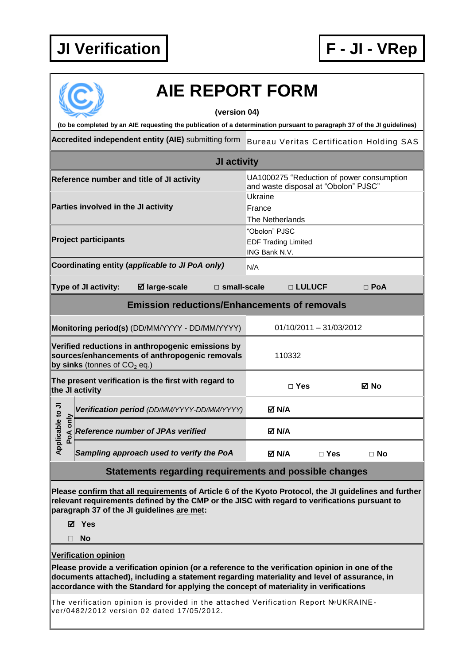

## **AIE REPORT FORM**

## **(version 04)**

**(to be completed by an AIE requesting the publication of a determination pursuant to paragraph 37 of the JI guidelines)**

**Accredited independent entity (AIE)** submitting form Bureau Veritas Certification Holding SAS

|                                 |                                     |                                                                                                     | JI activity           |                                                              |               |                                      |                                           |  |
|---------------------------------|-------------------------------------|-----------------------------------------------------------------------------------------------------|-----------------------|--------------------------------------------------------------|---------------|--------------------------------------|-------------------------------------------|--|
|                                 |                                     | Reference number and title of JI activity                                                           |                       |                                                              |               | and waste disposal at "Obolon" PJSC" | UA1000275 "Reduction of power consumption |  |
|                                 | Parties involved in the JI activity |                                                                                                     |                       | Ukraine<br>France                                            |               |                                      |                                           |  |
|                                 |                                     |                                                                                                     |                       | The Netherlands                                              |               |                                      |                                           |  |
|                                 | Project participants                |                                                                                                     |                       | "Obolon" PJSC<br><b>EDF Trading Limited</b><br>ING Bank N.V. |               |                                      |                                           |  |
|                                 |                                     | Coordinating entity (applicable to JI PoA only)                                                     |                       | N/A                                                          |               |                                      |                                           |  |
|                                 | Type of JI activity:                | <b>Ø</b> large-scale                                                                                | $\square$ small-scale |                                                              | □ LULUCF      |                                      | $\Box$ PoA                                |  |
|                                 |                                     | <b>Emission reductions/Enhancements of removals</b>                                                 |                       |                                                              |               |                                      |                                           |  |
|                                 |                                     | Monitoring period(s) (DD/MM/YYYY - DD/MM/YYYY)                                                      |                       |                                                              |               | $01/10/2011 - 31/03/2012$            |                                           |  |
|                                 | by sinks (tonnes of $CO2$ eq.)      | Verified reductions in anthropogenic emissions by<br>sources/enhancements of anthropogenic removals |                       |                                                              | 110332        |                                      |                                           |  |
|                                 | the JI activity                     | The present verification is the first with regard to                                                |                       |                                                              | $\square$ Yes |                                      | ⊠ No                                      |  |
|                                 |                                     | Verification period (DD/MM/YYYY-DD/MM/YYYY)                                                         |                       | M N/A                                                        |               |                                      |                                           |  |
| Applicable to JI<br>only<br>PoA |                                     | <b>Reference number of JPAs verified</b>                                                            |                       | <b>☑ N/A</b>                                                 |               |                                      |                                           |  |
|                                 |                                     | Sampling approach used to verify the PoA                                                            |                       | M N/A⊡                                                       |               | $\Box$ Yes                           | $\Box$ No                                 |  |
|                                 |                                     | <b>Statements regarding requirements and possible changes</b>                                       |                       |                                                              |               |                                      |                                           |  |

**Please confirm that all requirements of Article 6 of the Kyoto Protocol, the JI guidelines and further relevant requirements defined by the CMP or the JISC with regard to verifications pursuant to paragraph 37 of the JI guidelines are met:**

**Yes**

**No**

**Verification opinion**

**Please provide a verification opinion (or a reference to the verification opinion in one of the documents attached), including a statement regarding materiality and level of assurance, in accordance with the Standard for applying the concept of materiality in verifications**

The verification opinion is provided in the attached Verification Report №UKRAINEver/0482/2012 version 02 dated 17/05/2012.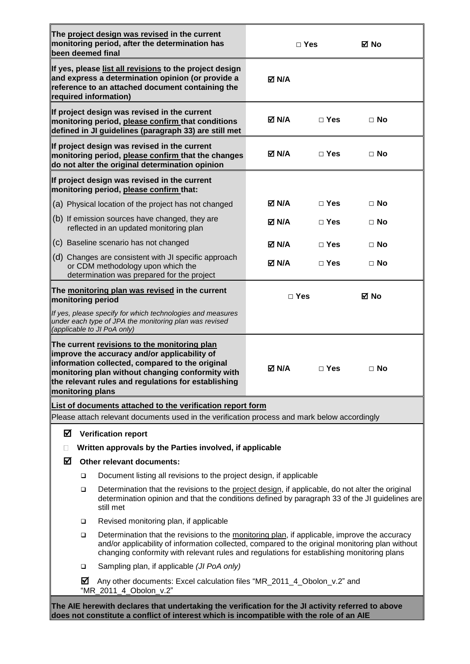| been deemed final |                  | The project design was revised in the current<br>monitoring period, after the determination has                                                                                                                                                                                              |              | $\Box$ Yes | ⊠ No      |
|-------------------|------------------|----------------------------------------------------------------------------------------------------------------------------------------------------------------------------------------------------------------------------------------------------------------------------------------------|--------------|------------|-----------|
|                   |                  | If yes, please list all revisions to the project design<br>and express a determination opinion (or provide a<br>reference to an attached document containing the<br>required information)                                                                                                    | <b>⊠ N/A</b> |            |           |
|                   |                  | If project design was revised in the current<br>monitoring period, please confirm that conditions<br>defined in JI guidelines (paragraph 33) are still met                                                                                                                                   | M N/A⊡       | $\Box$ Yes | $\Box$ No |
|                   |                  | If project design was revised in the current<br>monitoring period, please confirm that the changes<br>do not alter the original determination opinion                                                                                                                                        | <b>⊠ N/A</b> | $\Box$ Yes | $\Box$ No |
|                   |                  | If project design was revised in the current<br>monitoring period, please confirm that:                                                                                                                                                                                                      |              |            |           |
|                   |                  | (a) Physical location of the project has not changed                                                                                                                                                                                                                                         | M N/A⊡       | $\Box$ Yes | $\Box$ No |
|                   |                  | (b) If emission sources have changed, they are<br>reflected in an updated monitoring plan                                                                                                                                                                                                    | M N/A⊡       | $\Box$ Yes | $\Box$ No |
|                   |                  | (c) Baseline scenario has not changed                                                                                                                                                                                                                                                        | M N/A        | $\Box$ Yes | ⊟ No      |
|                   |                  | (d) Changes are consistent with JI specific approach<br>or CDM methodology upon which the<br>determination was prepared for the project                                                                                                                                                      | M N/A        | $\Box$ Yes | $\Box$ No |
| monitoring period |                  | The monitoring plan was revised in the current                                                                                                                                                                                                                                               |              | $\Box$ Yes | ⊠ No      |
|                   |                  | If yes, please specify for which technologies and measures<br>under each type of JPA the monitoring plan was revised<br>(applicable to JI PoA only)                                                                                                                                          |              |            |           |
| monitoring plans  |                  | The current revisions to the monitoring plan<br>improve the accuracy and/or applicability of<br>information collected, compared to the original<br>monitoring plan without changing conformity with<br>the relevant rules and regulations for establishing                                   | M N/A        | $\Box$ Yes | $\Box$ No |
|                   |                  | List of documents attached to the verification report form<br>Please attach relevant documents used in the verification process and mark below accordingly                                                                                                                                   |              |            |           |
| ☑                 |                  | <b>Verification report</b>                                                                                                                                                                                                                                                                   |              |            |           |
| П                 |                  | Written approvals by the Parties involved, if applicable                                                                                                                                                                                                                                     |              |            |           |
| ⊠                 |                  | Other relevant documents:                                                                                                                                                                                                                                                                    |              |            |           |
|                   | $\Box$<br>$\Box$ | Document listing all revisions to the project design, if applicable<br>Determination that the revisions to the project design, if applicable, do not alter the original                                                                                                                      |              |            |           |
|                   |                  | determination opinion and that the conditions defined by paragraph 33 of the JI guidelines are<br>still met                                                                                                                                                                                  |              |            |           |
|                   | $\Box$           | Revised monitoring plan, if applicable                                                                                                                                                                                                                                                       |              |            |           |
|                   | $\Box$           | Determination that the revisions to the monitoring plan, if applicable, improve the accuracy<br>and/or applicability of information collected, compared to the original monitoring plan without<br>changing conformity with relevant rules and regulations for establishing monitoring plans |              |            |           |
|                   | $\Box$           | Sampling plan, if applicable (JI PoA only)                                                                                                                                                                                                                                                   |              |            |           |
|                   | ☑                | Any other documents: Excel calculation files "MR_2011_4_Obolon_v.2" and<br>"MR_2011_4_Obolon_v.2"                                                                                                                                                                                            |              |            |           |
|                   |                  | The AIE herewith declares that undertaking the verification for the JI activity referred to above<br>does not constitute a conflict of interest which is incompatible with the role of an AIE                                                                                                |              |            |           |